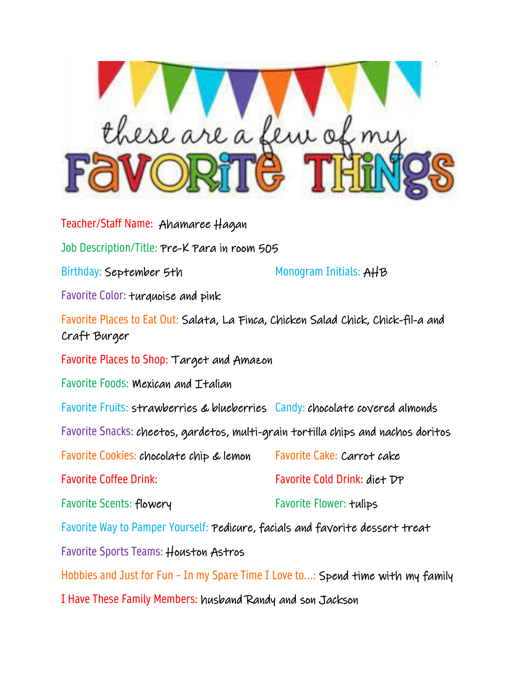

Teacher/Staff Name: Ahamaree Hagan Job Description/Title: Pre-K Para in room 505 Birthday: September 5th Monogram Initials: AHB Favorite Color: turquoise and pink Favorite Places to Eat Out: Salata, La Finca, Chicken Salad Chick, Chick-fil-a and Craft Burger Favorite Places to Shop: Target and Amazon Favorite Foods: Mexican and Italian Favorite Fruits: strawberries & blueberries Candy: chocolate covered almonds Favorite Snacks: cheetos, gardetos, multi-grain tortilla chips and nachos doritos Favorite Cookies: chocolate chip & lemon Favorite Cake: Carrot cake Favorite Coffee Drink: Favorite Cold Drink: diet DP Favorite Scents: flowery Favorite Flower: tulips Favorite Way to Pamper Yourself: Pedicure, facials and favorite dessert treat Favorite Sports Teams: Houston Astros Hobbies and Just for Fun – In my Spare Time I Love to...: Spend time with my family I Have These Family Members: husband Randy and son Jackson